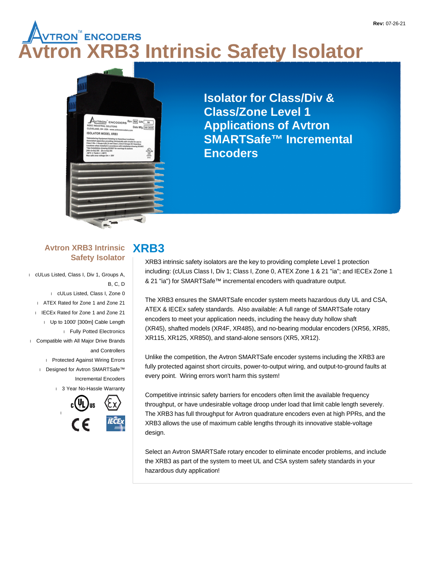# **Avtron XRB3 Intrinsic Safety Isolator**



**Isolator for Class/Div & Class/Zone Level 1 Applications of Avtron SMARTSafe™ Incremental Encoders**

#### **Avtron XRB3 Intrinsic Safety Isolator**

 cULus Listed, Class I, Div 1, Groups A, B, C, D cULus Listed, Class I, Zone 0 ATEX Rated for Zone 1 and Zone 21 I IECEx Rated for Zone 1 and Zone 21 Up to 1000' [300m] Cable Length Fully Potted Electronics Compatible with All Major Drive Brands and Controllers Protected Against Wiring Errors Designed for Avtron SMARTSafe™ Incremental Encoders

1 3 Year No-Hassle Warranty



## **XRB3**

XRB3 intrinsic safety isolators are the key to providing complete Level 1 protection including: (cULus Class I, Div 1; Class I, Zone 0, ATEX Zone 1 & 21 "ia"; and IECEx Zone 1 & 21 "ia") for SMARTSafe™ incremental encoders with quadrature output.

The XRB3 ensures the SMARTSafe encoder system meets hazardous duty UL and CSA, ATEX & IECEx safety standards. Also available: A full range of SMARTSafe rotary encoders to meet your application needs, including the heavy duty hollow shaft (XR45), shafted models (XR4F, XR485), and no-bearing modular encoders (XR56, XR85, XR115, XR125, XR850), and stand-alone sensors (XR5, XR12).

Unlike the competition, the Avtron SMARTSafe encoder systems including the XRB3 are fully protected against short circuits, power-to-output wiring, and output-to-ground faults at every point. Wiring errors won't harm this system!

Competitive intrinsic safety barriers for encoders often limit the available frequency throughput, or have undesirable voltage droop under load that limit cable length severely. The XRB3 has full throughput for Avtron quadrature encoders even at high PPRs, and the XRB3 allows the use of maximum cable lengths through its innovative stable-voltage design.

Select an Avtron SMARTSafe rotary encoder to eliminate encoder problems, and include the XRB3 as part of the system to meet UL and CSA system safety standards in your hazardous duty application!